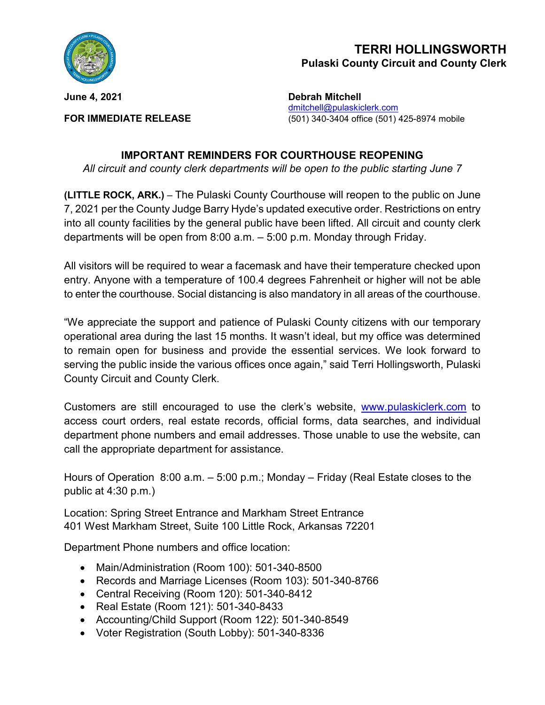

## **TERRI HOLLINGSWORTH Pulaski County Circuit and County Clerk**

**June 4, 2021 Debrah Mitchell** dmitchell@pulaskiclerk.com **FOR IMMEDIATE RELEASE** (501) 340-3404 office (501) 425-8974 mobile

## **IMPORTANT REMINDERS FOR COURTHOUSE REOPENING**

*All circuit and county clerk departments will be open to the public starting June 7*

**(LITTLE ROCK, ARK.)** – The Pulaski County Courthouse will reopen to the public on June 7, 2021 per the County Judge Barry Hyde's updated executive order. Restrictions on entry into all county facilities by the general public have been lifted. All circuit and county clerk departments will be open from 8:00 a.m. – 5:00 p.m. Monday through Friday.

All visitors will be required to wear a facemask and have their temperature checked upon entry. Anyone with a temperature of 100.4 degrees Fahrenheit or higher will not be able to enter the courthouse. Social distancing is also mandatory in all areas of the courthouse.

"We appreciate the support and patience of Pulaski County citizens with our temporary operational area during the last 15 months. It wasn't ideal, but my office was determined to remain open for business and provide the essential services. We look forward to serving the public inside the various offices once again," said Terri Hollingsworth, Pulaski County Circuit and County Clerk.

Customers are still encouraged to use the clerk's website, [www.pulaskiclerk.com](http://www.pulaskiclerk.com/) to access court orders, real estate records, official forms, data searches, and individual department phone numbers and email addresses. Those unable to use the website, can call the appropriate department for assistance.

Hours of Operation 8:00 a.m. – 5:00 p.m.; Monday – Friday (Real Estate closes to the public at 4:30 p.m.)

Location: Spring Street Entrance and Markham Street Entrance 401 West Markham Street, Suite 100 Little Rock, Arkansas 72201

Department Phone numbers and office location:

- Main/Administration (Room 100): 501-340-8500
- Records and Marriage Licenses (Room 103): 501-340-8766
- Central Receiving (Room 120): 501-340-8412
- Real Estate (Room 121): 501-340-8433
- Accounting/Child Support (Room 122): 501-340-8549
- Voter Registration (South Lobby): 501-340-8336